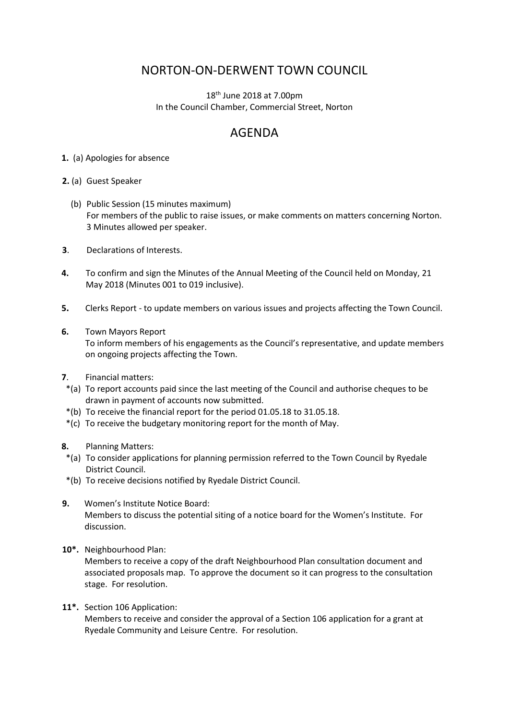## NORTON-ON-DERWENT TOWN COUNCIL

18th June 2018 at 7.00pm In the Council Chamber, Commercial Street, Norton

## AGENDA

**1.** (a) Apologies for absence

**2.** (a) Guest Speaker

- (b) Public Session (15 minutes maximum) For members of the public to raise issues, or make comments on matters concerning Norton. 3 Minutes allowed per speaker.
- **3**. Declarations of Interests.
- **4.** To confirm and sign the Minutes of the Annual Meeting of the Council held on Monday, 21 May 2018 (Minutes 001 to 019 inclusive).
- **5.** Clerks Report to update members on various issues and projects affecting the Town Council.
- **6.** Town Mayors Report To inform members of his engagements as the Council's representative, and update members on ongoing projects affecting the Town.
- **7**. Financial matters:
- \*(a) To report accounts paid since the last meeting of the Council and authorise cheques to be drawn in payment of accounts now submitted.
- \*(b) To receive the financial report for the period 01.05.18 to 31.05.18.
- \*(c) To receive the budgetary monitoring report for the month of May.
- **8.** Planning Matters:
- \*(a) To consider applications for planning permission referred to the Town Council by Ryedale District Council.
- \*(b) To receive decisions notified by Ryedale District Council.
- **9.** Women's Institute Notice Board: Members to discuss the potential siting of a notice board for the Women's Institute. For discussion.
- **10\*.** Neighbourhood Plan:

Members to receive a copy of the draft Neighbourhood Plan consultation document and associated proposals map. To approve the document so it can progress to the consultation stage. For resolution.

**11\*.** Section 106 Application:

Members to receive and consider the approval of a Section 106 application for a grant at Ryedale Community and Leisure Centre. For resolution.